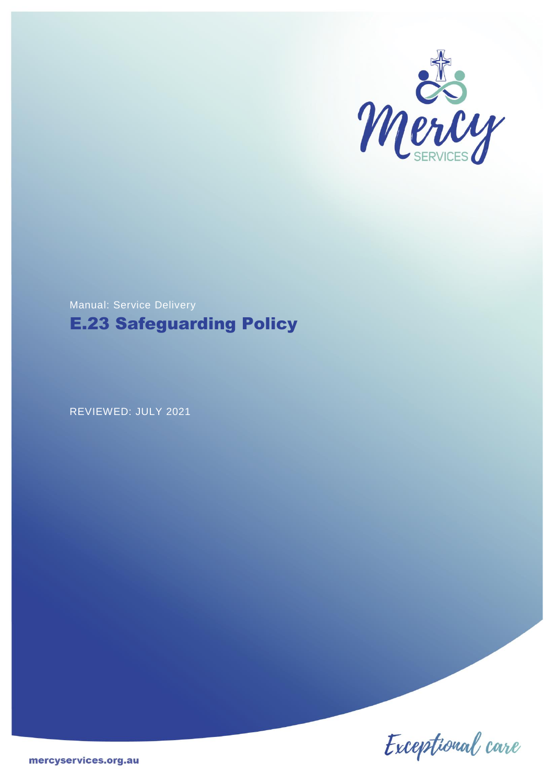

# Manual: Service Delivery E.23 Safeguarding Policy

REVIEWED: JULY 2021

Exceptional care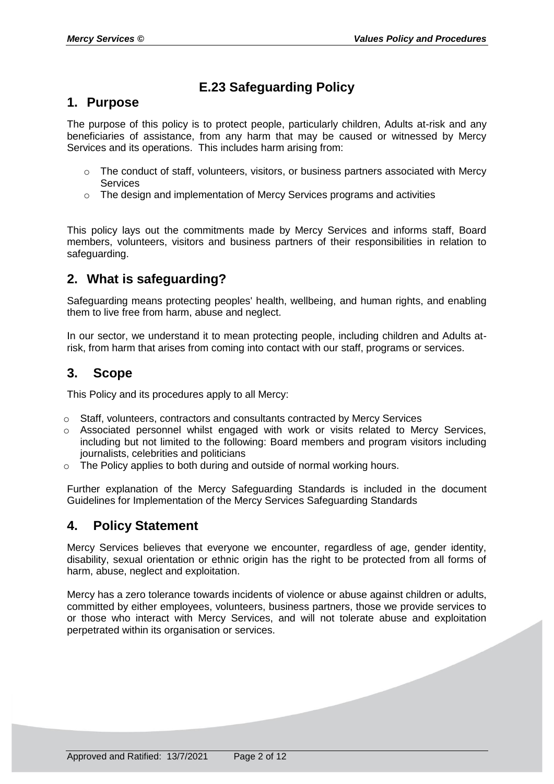### **E.23 Safeguarding Policy**

### **1. Purpose**

The purpose of this policy is to protect people, particularly children, Adults at-risk and any beneficiaries of assistance, from any harm that may be caused or witnessed by Mercy Services and its operations. This includes harm arising from:

- $\circ$  The conduct of staff, volunteers, visitors, or business partners associated with Mercy Services
- $\circ$  The design and implementation of Mercy Services programs and activities

This policy lays out the commitments made by Mercy Services and informs staff, Board members, volunteers, visitors and business partners of their responsibilities in relation to safeguarding.

### **2. What is safeguarding?**

Safeguarding means protecting peoples' health, wellbeing, and human rights, and enabling them to live free from harm, abuse and neglect.

In our sector, we understand it to mean protecting people, including children and Adults atrisk, from harm that arises from coming into contact with our staff, programs or services.

### **3. Scope**

This Policy and its procedures apply to all Mercy:

- o Staff, volunteers, contractors and consultants contracted by Mercy Services
- o Associated personnel whilst engaged with work or visits related to Mercy Services, including but not limited to the following: Board members and program visitors including journalists, celebrities and politicians
- o The Policy applies to both during and outside of normal working hours.

Further explanation of the Mercy Safeguarding Standards is included in the document Guidelines for Implementation of the Mercy Services Safeguarding Standards

### **4. Policy Statement**

Mercy Services believes that everyone we encounter, regardless of age, gender identity, disability, sexual orientation or ethnic origin has the right to be protected from all forms of harm, abuse, neglect and exploitation.

Mercy has a zero tolerance towards incidents of violence or abuse against children or adults, committed by either employees, volunteers, business partners, those we provide services to or those who interact with Mercy Services, and will not tolerate abuse and exploitation perpetrated within its organisation or services.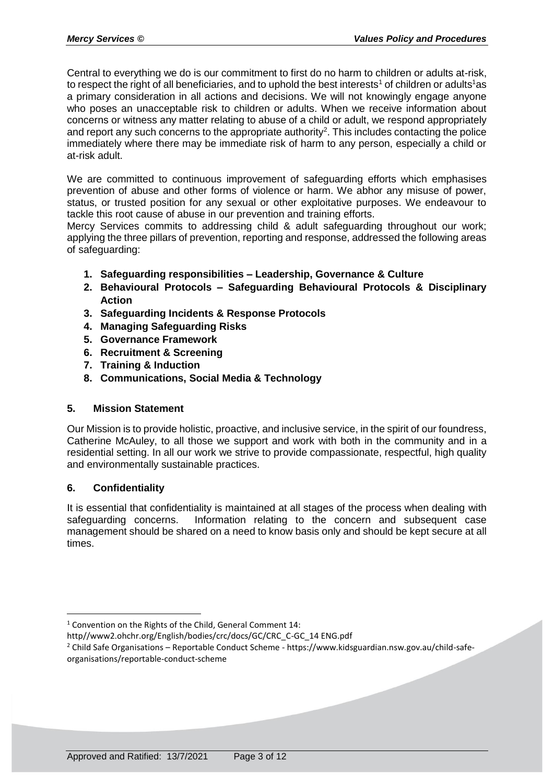Central to everything we do is our commitment to first do no harm to children or adults at-risk, to respect the right of all beneficiaries, and to uphold the best interests<sup>1</sup> of children or adults<sup>1</sup>as a primary consideration in all actions and decisions. We will not knowingly engage anyone who poses an unacceptable risk to children or adults. When we receive information about concerns or witness any matter relating to abuse of a child or adult, we respond appropriately and report any such concerns to the appropriate authority<sup>2</sup>. This includes contacting the police immediately where there may be immediate risk of harm to any person, especially a child or at-risk adult.

We are committed to continuous improvement of safeguarding efforts which emphasises prevention of abuse and other forms of violence or harm. We abhor any misuse of power, status, or trusted position for any sexual or other exploitative purposes. We endeavour to tackle this root cause of abuse in our prevention and training efforts.

Mercy Services commits to addressing child & adult safeguarding throughout our work; applying the three pillars of prevention, reporting and response, addressed the following areas of safeguarding:

- **1. Safeguarding responsibilities – Leadership, Governance & Culture**
- **2. Behavioural Protocols – Safeguarding Behavioural Protocols & Disciplinary Action**
- **3. Safeguarding Incidents & Response Protocols**
- **4. Managing Safeguarding Risks**
- **5. Governance Framework**
- **6. Recruitment & Screening**
- **7. Training & Induction**
- **8. Communications, Social Media & Technology**

#### **5. Mission Statement**

Our Mission is to provide holistic, proactive, and inclusive service, in the spirit of our foundress, Catherine McAuley, to all those we support and work with both in the community and in a residential setting. In all our work we strive to provide compassionate, respectful, high quality and environmentally sustainable practices.

#### **6. Confidentiality**

<u>.</u>

It is essential that confidentiality is maintained at all stages of the process when dealing with safeguarding concerns. Information relating to the concern and subsequent case management should be shared on a need to know basis only and should be kept secure at all times.

 $1$  Convention on the Rights of the Child, General Comment 14:

http//www2.ohchr.org/English/bodies/crc/docs/GC/CRC\_C-GC\_14 ENG.pdf

<sup>2</sup> Child Safe Organisations – Reportable Conduct Scheme - https://www.kidsguardian.nsw.gov.au/child-safeorganisations/reportable-conduct-scheme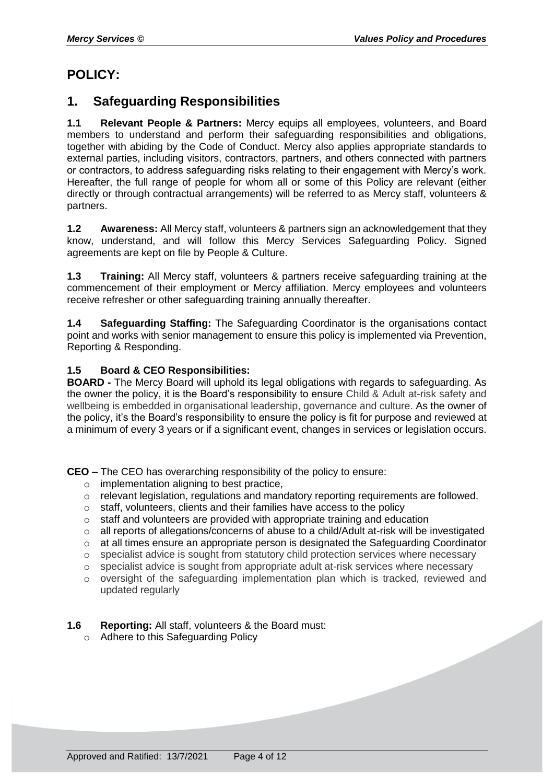# **POLICY:**

### **1. Safeguarding Responsibilities**

**1.1 Relevant People & Partners:** Mercy equips all employees, volunteers, and Board members to understand and perform their safeguarding responsibilities and obligations, together with abiding by the Code of Conduct. Mercy also applies appropriate standards to external parties, including visitors, contractors, partners, and others connected with partners or contractors, to address safeguarding risks relating to their engagement with Mercy's work. Hereafter, the full range of people for whom all or some of this Policy are relevant (either directly or through contractual arrangements) will be referred to as Mercy staff, volunteers & partners.

**1.2 Awareness:** All Mercy staff, volunteers & partners sign an acknowledgement that they know, understand, and will follow this Mercy Services Safeguarding Policy. Signed agreements are kept on file by People & Culture.

**1.3 Training:** All Mercy staff, volunteers & partners receive safeguarding training at the commencement of their employment or Mercy affiliation. Mercy employees and volunteers receive refresher or other safeguarding training annually thereafter.

**1.4 Safeguarding Staffing:** The Safeguarding Coordinator is the organisations contact point and works with senior management to ensure this policy is implemented via Prevention, Reporting & Responding.

#### **1.5 Board & CEO Responsibilities:**

**BOARD -** The Mercy Board will uphold its legal obligations with regards to safeguarding. As the owner the policy, it is the Board's responsibility to ensure Child & Adult at-risk safety and wellbeing is embedded in organisational leadership, governance and culture. As the owner of the policy, it's the Board's responsibility to ensure the policy is fit for purpose and reviewed at a minimum of every 3 years or if a significant event, changes in services or legislation occurs.

**CEO –** The CEO has overarching responsibility of the policy to ensure:

- o implementation aligning to best practice,
- o relevant legislation, regulations and mandatory reporting requirements are followed.
- o staff, volunteers, clients and their families have access to the policy
- o staff and volunteers are provided with appropriate training and education
- o all reports of allegations/concerns of abuse to a child/Adult at-risk will be investigated
- $\circ$  at all times ensure an appropriate person is designated the Safeguarding Coordinator
- o specialist advice is sought from statutory child protection services where necessary
- o specialist advice is sought from appropriate adult at-risk services where necessary
- $\circ$  oversight of the safeguarding implementation plan which is tracked, reviewed and updated regularly

#### **1.6 Reporting:** All staff, volunteers & the Board must:

o Adhere to this Safeguarding Policy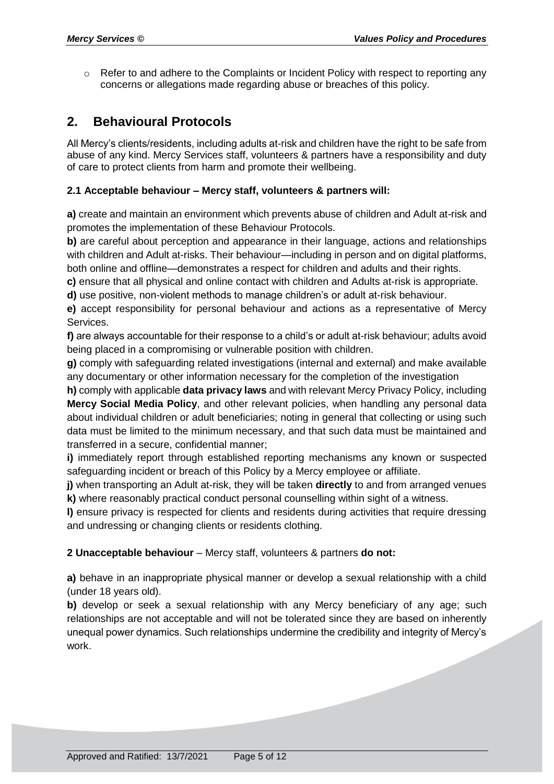$\circ$  Refer to and adhere to the Complaints or Incident Policy with respect to reporting any concerns or allegations made regarding abuse or breaches of this policy.

### **2. Behavioural Protocols**

All Mercy's clients/residents, including adults at-risk and children have the right to be safe from abuse of any kind. Mercy Services staff, volunteers & partners have a responsibility and duty of care to protect clients from harm and promote their wellbeing.

#### **2.1 Acceptable behaviour – Mercy staff, volunteers & partners will:**

**a)** create and maintain an environment which prevents abuse of children and Adult at-risk and promotes the implementation of these Behaviour Protocols.

**b**) are careful about perception and appearance in their language, actions and relationships with children and Adult at-risks. Their behaviour—including in person and on digital platforms, both online and offline—demonstrates a respect for children and adults and their rights.

**c)** ensure that all physical and online contact with children and Adults at-risk is appropriate.

**d)** use positive, non-violent methods to manage children's or adult at-risk behaviour.

**e)** accept responsibility for personal behaviour and actions as a representative of Mercy Services.

**f)** are always accountable for their response to a child's or adult at-risk behaviour; adults avoid being placed in a compromising or vulnerable position with children.

**g)** comply with safeguarding related investigations (internal and external) and make available any documentary or other information necessary for the completion of the investigation

**h)** comply with applicable **data privacy laws** and with relevant Mercy Privacy Policy, including **Mercy Social Media Policy**, and other relevant policies, when handling any personal data about individual children or adult beneficiaries; noting in general that collecting or using such data must be limited to the minimum necessary, and that such data must be maintained and transferred in a secure, confidential manner;

**i)** immediately report through established reporting mechanisms any known or suspected safeguarding incident or breach of this Policy by a Mercy employee or affiliate.

**j)** when transporting an Adult at-risk, they will be taken **directly** to and from arranged venues **k)** where reasonably practical conduct personal counselling within sight of a witness.

**l)** ensure privacy is respected for clients and residents during activities that require dressing and undressing or changing clients or residents clothing.

#### **2 Unacceptable behaviour** – Mercy staff, volunteers & partners **do not:**

**a)** behave in an inappropriate physical manner or develop a sexual relationship with a child (under 18 years old).

**b)** develop or seek a sexual relationship with any Mercy beneficiary of any age; such relationships are not acceptable and will not be tolerated since they are based on inherently unequal power dynamics. Such relationships undermine the credibility and integrity of Mercy's work.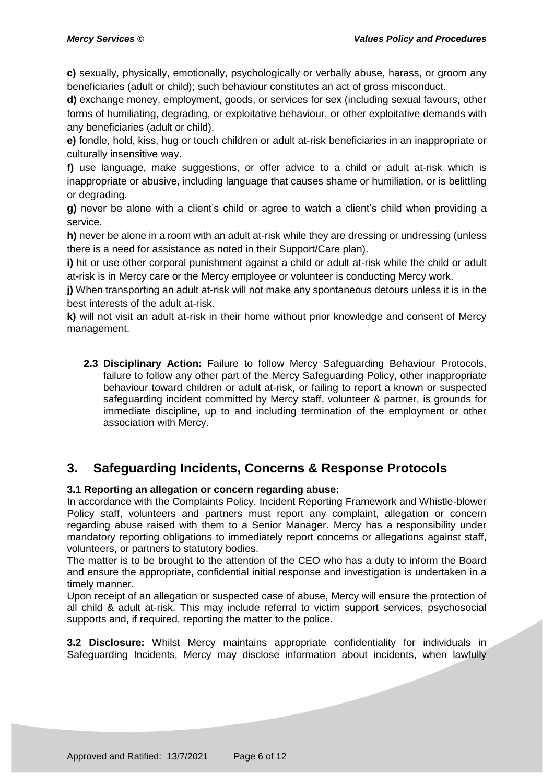**c)** sexually, physically, emotionally, psychologically or verbally abuse, harass, or groom any beneficiaries (adult or child); such behaviour constitutes an act of gross misconduct.

**d)** exchange money, employment, goods, or services for sex (including sexual favours, other forms of humiliating, degrading, or exploitative behaviour, or other exploitative demands with any beneficiaries (adult or child).

**e)** fondle, hold, kiss, hug or touch children or adult at-risk beneficiaries in an inappropriate or culturally insensitive way.

**f)** use language, make suggestions, or offer advice to a child or adult at-risk which is inappropriate or abusive, including language that causes shame or humiliation, or is belittling or degrading.

**g)** never be alone with a client's child or agree to watch a client's child when providing a service.

**h)** never be alone in a room with an adult at-risk while they are dressing or undressing (unless there is a need for assistance as noted in their Support/Care plan).

**i)** hit or use other corporal punishment against a child or adult at-risk while the child or adult at-risk is in Mercy care or the Mercy employee or volunteer is conducting Mercy work.

**j)** When transporting an adult at-risk will not make any spontaneous detours unless it is in the best interests of the adult at-risk.

**k)** will not visit an adult at-risk in their home without prior knowledge and consent of Mercy management.

**2.3 Disciplinary Action:** Failure to follow Mercy Safeguarding Behaviour Protocols, failure to follow any other part of the Mercy Safeguarding Policy, other inappropriate behaviour toward children or adult at-risk, or failing to report a known or suspected safeguarding incident committed by Mercy staff, volunteer & partner, is grounds for immediate discipline, up to and including termination of the employment or other association with Mercy.

### **3. Safeguarding Incidents, Concerns & Response Protocols**

#### **3.1 Reporting an allegation or concern regarding abuse:**

In accordance with the Complaints Policy, Incident Reporting Framework and Whistle-blower Policy staff, volunteers and partners must report any complaint, allegation or concern regarding abuse raised with them to a Senior Manager. Mercy has a responsibility under mandatory reporting obligations to immediately report concerns or allegations against staff, volunteers, or partners to statutory bodies.

The matter is to be brought to the attention of the CEO who has a duty to inform the Board and ensure the appropriate, confidential initial response and investigation is undertaken in a timely manner.

Upon receipt of an allegation or suspected case of abuse, Mercy will ensure the protection of all child & adult at-risk. This may include referral to victim support services, psychosocial supports and, if required, reporting the matter to the police.

**3.2 Disclosure:** Whilst Mercy maintains appropriate confidentiality for individuals in Safeguarding Incidents, Mercy may disclose information about incidents, when lawfully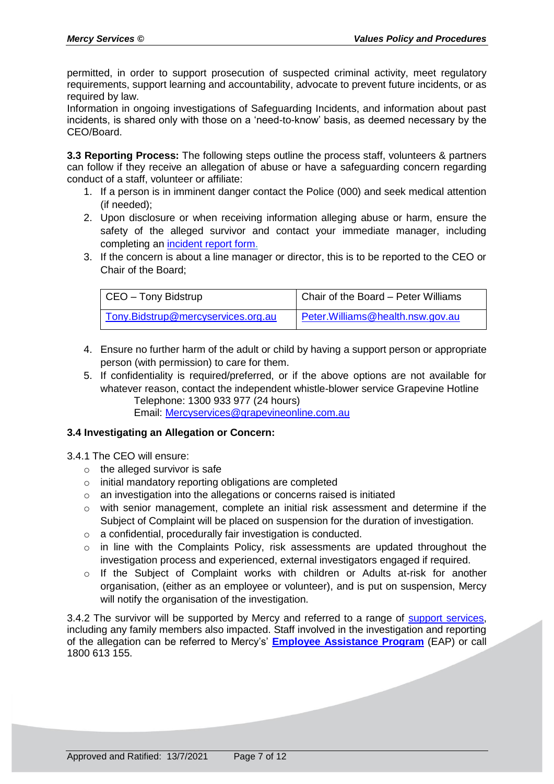permitted, in order to support prosecution of suspected criminal activity, meet regulatory requirements, support learning and accountability, advocate to prevent future incidents, or as required by law.

Information in ongoing investigations of Safeguarding Incidents, and information about past incidents, is shared only with those on a 'need-to-know' basis, as deemed necessary by the CEO/Board.

**3.3 Reporting Process:** The following steps outline the process staff, volunteers & partners can follow if they receive an allegation of abuse or have a safeguarding concern regarding conduct of a staff, volunteer or affiliate:

- 1. If a person is in imminent danger contact the Police (000) and seek medical attention (if needed);
- 2. Upon disclosure or when receiving information alleging abuse or harm, ensure the safety of the alleged survivor and contact your immediate manager, including completing an [incident report form.](https://mercyservices.org.au/storage/app/media/MS%20Incident%20Form%20-%202020.docx)
- 3. If the concern is about a line manager or director, this is to be reported to the CEO or Chair of the Board;

| CEO - Tony Bidstrup                | Chair of the Board - Peter Williams |
|------------------------------------|-------------------------------------|
| Tony.Bidstrup@mercyservices.org.au | Peter. Williams@health.nsw.gov.au   |

- 4. Ensure no further harm of the adult or child by having a support person or appropriate person (with permission) to care for them.
- 5. If confidentiality is required/preferred, or if the above options are not available for whatever reason, contact the independent whistle-blower service Grapevine Hotline Telephone: 1300 933 977 (24 hours) Email: [Mercyservices@grapevineonline.com.au](mailto:Mercyservices@grapevineonline.com.au)

#### **3.4 Investigating an Allegation or Concern:**

- 3.4.1 The CEO will ensure:
	- $\circ$  the alleged survivor is safe
	- o initial mandatory reporting obligations are completed
	- o an investigation into the allegations or concerns raised is initiated
	- $\circ$  with senior management, complete an initial risk assessment and determine if the Subject of Complaint will be placed on suspension for the duration of investigation.
	- o a confidential, procedurally fair investigation is conducted.
	- o in line with the Complaints Policy, risk assessments are updated throughout the investigation process and experienced, external investigators engaged if required.
	- o If the Subject of Complaint works with children or Adults at-risk for another organisation, (either as an employee or volunteer), and is put on suspension, Mercy will notify the organisation of the investigation.

3.4.2 The survivor will be supported by Mercy and referred to a range of [support services,](https://www.facs.nsw.gov.au/domestic-violence/services-and-support/contacts/a-z) including any family members also impacted. Staff involved in the investigation and reporting of the allegation can be referred to Mercy's' **[Employee Assistance Program](http://www.accessnewcastle.com.au/)** (EAP) or call 1800 613 155.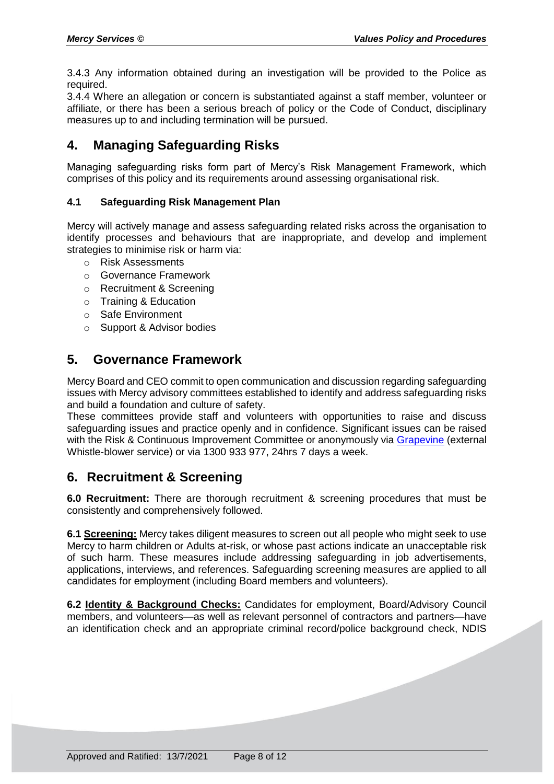3.4.3 Any information obtained during an investigation will be provided to the Police as required.

3.4.4 Where an allegation or concern is substantiated against a staff member, volunteer or affiliate, or there has been a serious breach of policy or the Code of Conduct, disciplinary measures up to and including termination will be pursued.

### **4. Managing Safeguarding Risks**

Managing safeguarding risks form part of Mercy's Risk Management Framework, which comprises of this policy and its requirements around assessing organisational risk.

#### **4.1 Safeguarding Risk Management Plan**

Mercy will actively manage and assess safeguarding related risks across the organisation to identify processes and behaviours that are inappropriate, and develop and implement strategies to minimise risk or harm via:

- o Risk Assessments
- o Governance Framework
- o Recruitment & Screening
- o Training & Education
- o Safe Environment
- o Support & Advisor bodies

### **5. Governance Framework**

Mercy Board and CEO commit to open communication and discussion regarding safeguarding issues with Mercy advisory committees established to identify and address safeguarding risks and build a foundation and culture of safety.

These committees provide staff and volunteers with opportunities to raise and discuss safeguarding issues and practice openly and in confidence. Significant issues can be raised with the Risk & Continuous Improvement Committee or anonymously via [Grapevine](https://mercyservices.grapevineonline.com.au/) (external Whistle-blower service) or via 1300 933 977, 24hrs 7 days a week.

### **6. Recruitment & Screening**

**6.0 Recruitment:** There are thorough recruitment & screening procedures that must be consistently and comprehensively followed.

**6.1 Screening:** Mercy takes diligent measures to screen out all people who might seek to use Mercy to harm children or Adults at-risk, or whose past actions indicate an unacceptable risk of such harm. These measures include addressing safeguarding in job advertisements, applications, interviews, and references. Safeguarding screening measures are applied to all candidates for employment (including Board members and volunteers).

**6.2 Identity & Background Checks:** Candidates for employment, Board/Advisory Council members, and volunteers—as well as relevant personnel of contractors and partners—have an identification check and an appropriate criminal record/police background check, NDIS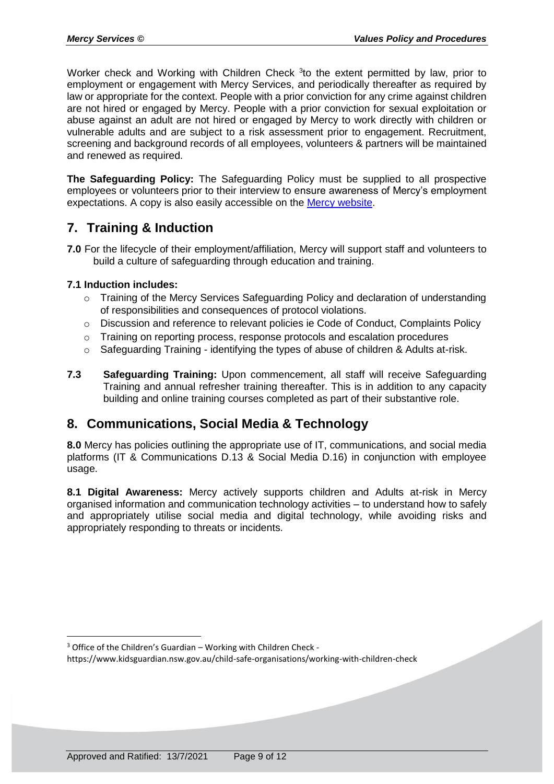Worker check and Working with Children Check <sup>3</sup>to the extent permitted by law, prior to employment or engagement with Mercy Services, and periodically thereafter as required by law or appropriate for the context. People with a prior conviction for any crime against children are not hired or engaged by Mercy. People with a prior conviction for sexual exploitation or abuse against an adult are not hired or engaged by Mercy to work directly with children or vulnerable adults and are subject to a risk assessment prior to engagement. Recruitment, screening and background records of all employees, volunteers & partners will be maintained and renewed as required.

**The Safeguarding Policy:** The Safeguarding Policy must be supplied to all prospective employees or volunteers prior to their interview to ensure awareness of Mercy's employment expectations. A copy is also easily accessible on the [Mercy website.](https://mercyservices.org.au/storage/app/media/E.23%20Client%20SafeGuarding.pdf)

# **7. Training & Induction**

**7.0** For the lifecycle of their employment/affiliation, Mercy will support staff and volunteers to build a culture of safeguarding through education and training.

#### **7.1 Induction includes:**

<u>.</u>

- o Training of the Mercy Services Safeguarding Policy and declaration of understanding of responsibilities and consequences of protocol violations.
- o Discussion and reference to relevant policies ie Code of Conduct, Complaints Policy
- o Training on reporting process, response protocols and escalation procedures
- o Safeguarding Training identifying the types of abuse of children & Adults at-risk.
- **7.3 Safeguarding Training:** Upon commencement, all staff will receive Safeguarding Training and annual refresher training thereafter. This is in addition to any capacity building and online training courses completed as part of their substantive role.

### **8. Communications, Social Media & Technology**

**8.0** Mercy has policies outlining the appropriate use of IT, communications, and social media platforms (IT & Communications D.13 & Social Media D.16) in conjunction with employee usage.

**8.1 Digital Awareness:** Mercy actively supports children and Adults at-risk in Mercy organised information and communication technology activities – to understand how to safely and appropriately utilise social media and digital technology, while avoiding risks and appropriately responding to threats or incidents.

 $3$  Office of the Children's Guardian – Working with Children Check -

https://www.kidsguardian.nsw.gov.au/child-safe-organisations/working-with-children-check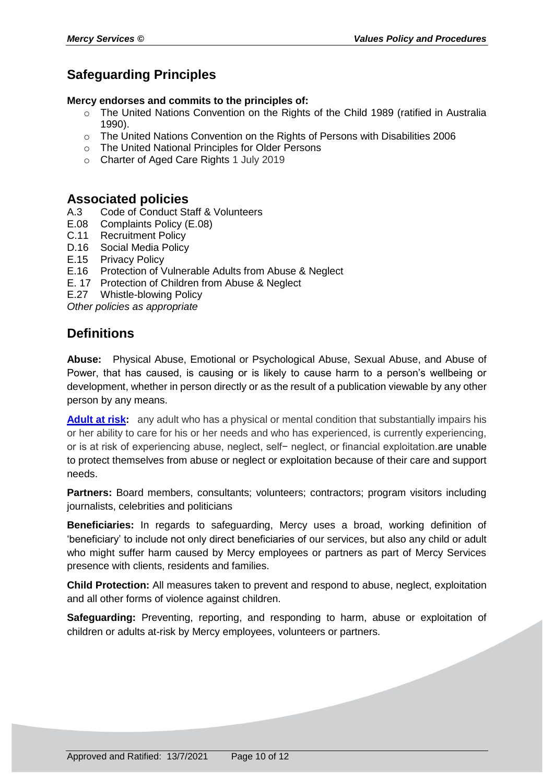# **Safeguarding Principles**

#### **Mercy endorses and commits to the principles of:**

- o The United Nations Convention on the Rights of the Child 1989 (ratified in Australia 1990).
- o The United Nations Convention on the Rights of Persons with Disabilities 2006
- o The United National Principles for Older Persons
- o Charter of Aged Care Rights 1 July 2019

### **Associated policies**

- A.3 Code of Conduct Staff & Volunteers<br>E.08 Complaints Policy (E.08)
- E.08 Complaints Policy (E.08)
- C.11 Recruitment Policy
- D.16 Social Media Policy
- E.15 Privacy Policy
- E.16 Protection of Vulnerable Adults from Abuse & Neglect
- E. 17 Protection of Children from Abuse & Neglect
- E.27 Whistle-blowing Policy

*Other policies as appropriate*

### **Definitions**

**Abuse:** Physical Abuse, Emotional or Psychological Abuse, Sexual Abuse, and Abuse of Power, that has caused, is causing or is likely to cause harm to a person's wellbeing or development, whether in person directly or as the result of a publication viewable by any other person by any means.

**[Adult at risk:](https://www.lawinsider.com/dictionary/adult-at-risk)** any adult who has a physical or mental condition that substantially impairs his or her ability to care for his or her needs and who has experienced, is currently experiencing, or is at risk of experiencing abuse, neglect, self− neglect, or financial exploitation.are unable to protect themselves from abuse or neglect or exploitation because of their care and support needs.

**Partners:** Board members, consultants; volunteers; contractors; program visitors including journalists, celebrities and politicians

**Beneficiaries:** In regards to safeguarding, Mercy uses a broad, working definition of 'beneficiary' to include not only direct beneficiaries of our services, but also any child or adult who might suffer harm caused by Mercy employees or partners as part of Mercy Services presence with clients, residents and families.

**Child Protection:** All measures taken to prevent and respond to abuse, neglect, exploitation and all other forms of violence against children.

**Safeguarding:** Preventing, reporting, and responding to harm, abuse or exploitation of children or adults at-risk by Mercy employees, volunteers or partners.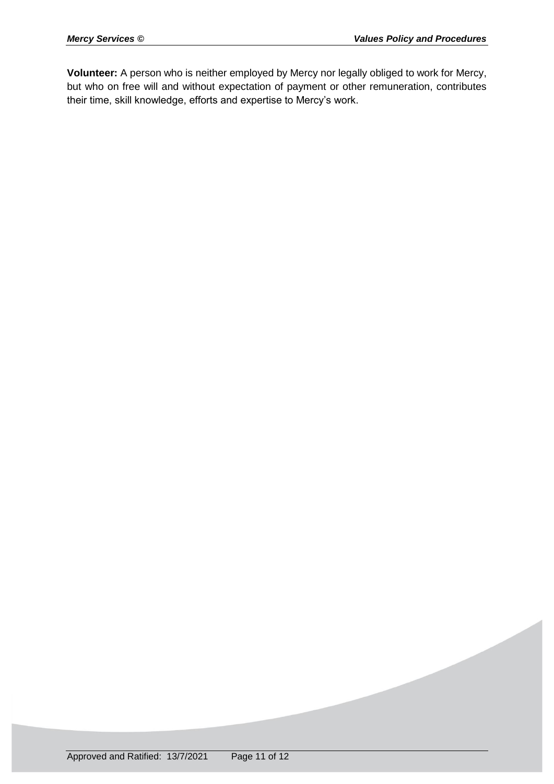**Volunteer:** A person who is neither employed by Mercy nor legally obliged to work for Mercy, but who on free will and without expectation of payment or other remuneration, contributes their time, skill knowledge, efforts and expertise to Mercy's work.